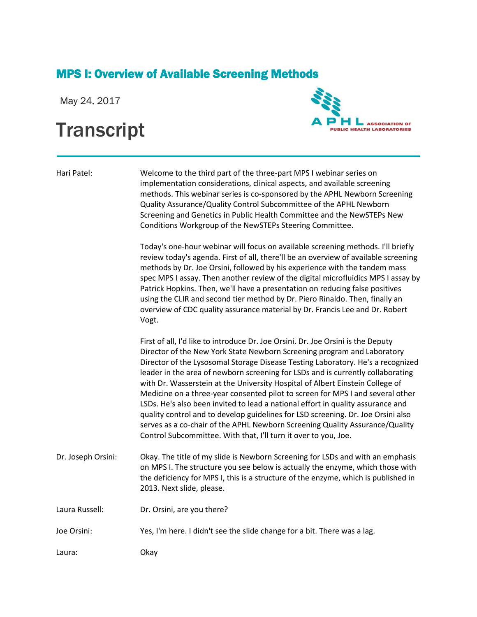## MPS I: Overview of Available Screening Methods

May 24, 2017

## **Transcript**



Hari Patel: Welcome to the third part of the three-part MPS I webinar series on implementation considerations, clinical aspects, and available screening methods. This webinar series is co-sponsored by the APHL Newborn Screening Quality Assurance/Quality Control Subcommittee of the APHL Newborn Screening and Genetics in Public Health Committee and the NewSTEPs New Conditions Workgroup of the NewSTEPs Steering Committee.

> Today's one-hour webinar will focus on available screening methods. I'll briefly review today's agenda. First of all, there'll be an overview of available screening methods by Dr. Joe Orsini, followed by his experience with the tandem mass spec MPS I assay. Then another review of the digital microfluidics MPS I assay by Patrick Hopkins. Then, we'll have a presentation on reducing false positives using the CLIR and second tier method by Dr. Piero Rinaldo. Then, finally an overview of CDC quality assurance material by Dr. Francis Lee and Dr. Robert Vogt.

> First of all, I'd like to introduce Dr. Joe Orsini. Dr. Joe Orsini is the Deputy Director of the New York State Newborn Screening program and Laboratory Director of the Lysosomal Storage Disease Testing Laboratory. He's a recognized leader in the area of newborn screening for LSDs and is currently collaborating with Dr. Wasserstein at the University Hospital of Albert Einstein College of Medicine on a three-year consented pilot to screen for MPS I and several other LSDs. He's also been invited to lead a national effort in quality assurance and quality control and to develop guidelines for LSD screening. Dr. Joe Orsini also serves as a co-chair of the APHL Newborn Screening Quality Assurance/Quality Control Subcommittee. With that, I'll turn it over to you, Joe.

Dr. Joseph Orsini: Okay. The title of my slide is Newborn Screening for LSDs and with an emphasis on MPS I. The structure you see below is actually the enzyme, which those with the deficiency for MPS I, this is a structure of the enzyme, which is published in 2013. Next slide, please.

Laura Russell: Dr. Orsini, are you there?

Joe Orsini: Yes, I'm here. I didn't see the slide change for a bit. There was a lag.

Laura: Okay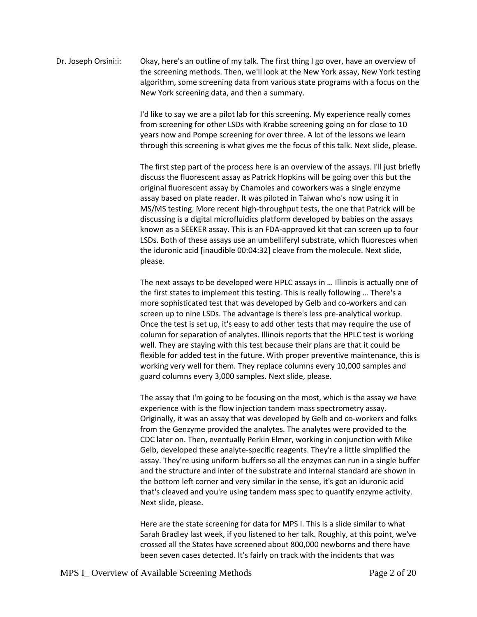## Dr. Joseph Orsini:i: Okay, here's an outline of my talk. The first thing I go over, have an overview of the screening methods. Then, we'll look at the New York assay, New York testing algorithm, some screening data from various state programs with a focus on the New York screening data, and then a summary.

I'd like to say we are a pilot lab for this screening. My experience really comes from screening for other LSDs with Krabbe screening going on for close to 10 years now and Pompe screening for over three. A lot of the lessons we learn through this screening is what gives me the focus of this talk. Next slide, please.

The first step part of the process here is an overview of the assays. I'll just briefly discuss the fluorescent assay as Patrick Hopkins will be going over this but the original fluorescent assay by Chamoles and coworkers was a single enzyme assay based on plate reader. It was piloted in Taiwan who's now using it in MS/MS testing. More recent high-throughput tests, the one that Patrick will be discussing is a digital microfluidics platform developed by babies on the assays known as a SEEKER assay. This is an FDA-approved kit that can screen up to four LSDs. Both of these assays use an umbelliferyl substrate, which fluoresces when the iduronic acid [inaudible 00:04:32] cleave from the molecule. Next slide, please.

The next assays to be developed were HPLC assays in … Illinois is actually one of the first states to implement this testing. This is really following … There's a more sophisticated test that was developed by Gelb and co-workers and can screen up to nine LSDs. The advantage is there's less pre-analytical workup. Once the test is set up, it's easy to add other tests that may require the use of column for separation of analytes. Illinois reports that the HPLC test is working well. They are staying with this test because their plans are that it could be flexible for added test in the future. With proper preventive maintenance, this is working very well for them. They replace columns every 10,000 samples and guard columns every 3,000 samples. Next slide, please.

The assay that I'm going to be focusing on the most, which is the assay we have experience with is the flow injection tandem mass spectrometry assay. Originally, it was an assay that was developed by Gelb and co-workers and folks from the Genzyme provided the analytes. The analytes were provided to the CDC later on. Then, eventually Perkin Elmer, working in conjunction with Mike Gelb, developed these analyte-specific reagents. They're a little simplified the assay. They're using uniform buffers so all the enzymes can run in a single buffer and the structure and inter of the substrate and internal standard are shown in the bottom left corner and very similar in the sense, it's got an iduronic acid that's cleaved and you're using tandem mass spec to quantify enzyme activity. Next slide, please.

Here are the state screening for data for MPS I. This is a slide similar to what Sarah Bradley last week, if you listened to her talk. Roughly, at this point, we've crossed all the States have screened about 800,000 newborns and there have been seven cases detected. It's fairly on track with the incidents that was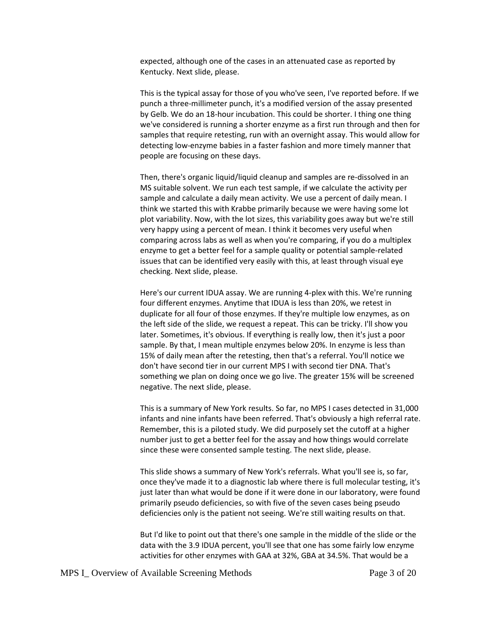expected, although one of the cases in an attenuated case as reported by Kentucky. Next slide, please.

This is the typical assay for those of you who've seen, I've reported before. If we punch a three-millimeter punch, it's a modified version of the assay presented by Gelb. We do an 18-hour incubation. This could be shorter. I thing one thing we've considered is running a shorter enzyme as a first run through and then for samples that require retesting, run with an overnight assay. This would allow for detecting low-enzyme babies in a faster fashion and more timely manner that people are focusing on these days.

Then, there's organic liquid/liquid cleanup and samples are re-dissolved in an MS suitable solvent. We run each test sample, if we calculate the activity per sample and calculate a daily mean activity. We use a percent of daily mean. I think we started this with Krabbe primarily because we were having some lot plot variability. Now, with the lot sizes, this variability goes away but we're still very happy using a percent of mean. I think it becomes very useful when comparing across labs as well as when you're comparing, if you do a multiplex enzyme to get a better feel for a sample quality or potential sample-related issues that can be identified very easily with this, at least through visual eye checking. Next slide, please.

Here's our current IDUA assay. We are running 4-plex with this. We're running four different enzymes. Anytime that IDUA is less than 20%, we retest in duplicate for all four of those enzymes. If they're multiple low enzymes, as on the left side of the slide, we request a repeat. This can be tricky. I'll show you later. Sometimes, it's obvious. If everything is really low, then it's just a poor sample. By that, I mean multiple enzymes below 20%. In enzyme is less than 15% of daily mean after the retesting, then that's a referral. You'll notice we don't have second tier in our current MPS I with second tier DNA. That's something we plan on doing once we go live. The greater 15% will be screened negative. The next slide, please.

This is a summary of New York results. So far, no MPS I cases detected in 31,000 infants and nine infants have been referred. That's obviously a high referral rate. Remember, this is a piloted study. We did purposely set the cutoff at a higher number just to get a better feel for the assay and how things would correlate since these were consented sample testing. The next slide, please.

This slide shows a summary of New York's referrals. What you'll see is, so far, once they've made it to a diagnostic lab where there is full molecular testing, it's just later than what would be done if it were done in our laboratory, were found primarily pseudo deficiencies, so with five of the seven cases being pseudo deficiencies only is the patient not seeing. We're still waiting results on that.

But I'd like to point out that there's one sample in the middle of the slide or the data with the 3.9 IDUA percent, you'll see that one has some fairly low enzyme activities for other enzymes with GAA at 32%, GBA at 34.5%. That would be a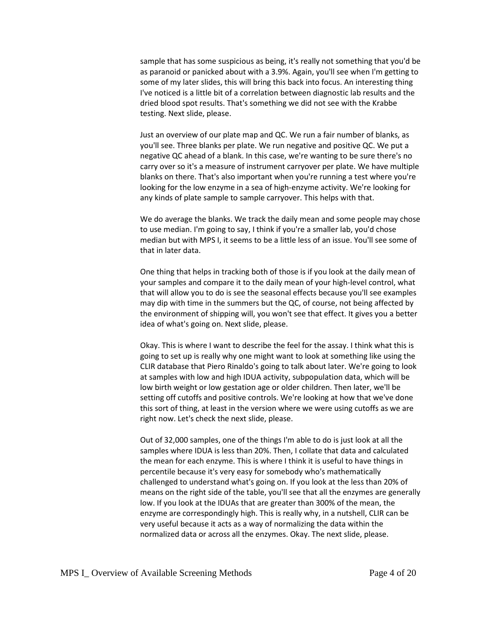sample that has some suspicious as being, it's really not something that you'd be as paranoid or panicked about with a 3.9%. Again, you'll see when I'm getting to some of my later slides, this will bring this back into focus. An interesting thing I've noticed is a little bit of a correlation between diagnostic lab results and the dried blood spot results. That's something we did not see with the Krabbe testing. Next slide, please.

Just an overview of our plate map and QC. We run a fair number of blanks, as you'll see. Three blanks per plate. We run negative and positive QC. We put a negative QC ahead of a blank. In this case, we're wanting to be sure there's no carry over so it's a measure of instrument carryover per plate. We have multiple blanks on there. That's also important when you're running a test where you're looking for the low enzyme in a sea of high-enzyme activity. We're looking for any kinds of plate sample to sample carryover. This helps with that.

We do average the blanks. We track the daily mean and some people may chose to use median. I'm going to say, I think if you're a smaller lab, you'd chose median but with MPS I, it seems to be a little less of an issue. You'll see some of that in later data.

One thing that helps in tracking both of those is if you look at the daily mean of your samples and compare it to the daily mean of your high-level control, what that will allow you to do is see the seasonal effects because you'll see examples may dip with time in the summers but the QC, of course, not being affected by the environment of shipping will, you won't see that effect. It gives you a better idea of what's going on. Next slide, please.

Okay. This is where I want to describe the feel for the assay. I think what this is going to set up is really why one might want to look at something like using the CLIR database that Piero Rinaldo's going to talk about later. We're going to look at samples with low and high IDUA activity, subpopulation data, which will be low birth weight or low gestation age or older children. Then later, we'll be setting off cutoffs and positive controls. We're looking at how that we've done this sort of thing, at least in the version where we were using cutoffs as we are right now. Let's check the next slide, please.

Out of 32,000 samples, one of the things I'm able to do is just look at all the samples where IDUA is less than 20%. Then, I collate that data and calculated the mean for each enzyme. This is where I think it is useful to have things in percentile because it's very easy for somebody who's mathematically challenged to understand what's going on. If you look at the less than 20% of means on the right side of the table, you'll see that all the enzymes are generally low. If you look at the IDUAs that are greater than 300% of the mean, the enzyme are correspondingly high. This is really why, in a nutshell, CLIR can be very useful because it acts as a way of normalizing the data within the normalized data or across all the enzymes. Okay. The next slide, please.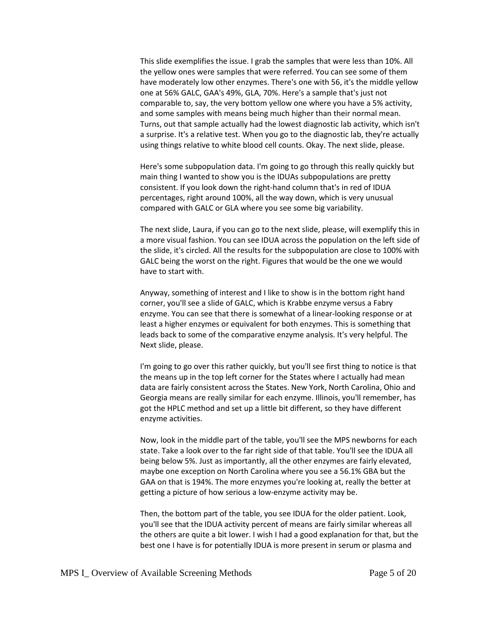This slide exemplifies the issue. I grab the samples that were less than 10%. All the yellow ones were samples that were referred. You can see some of them have moderately low other enzymes. There's one with 56, it's the middle yellow one at 56% GALC, GAA's 49%, GLA, 70%. Here's a sample that's just not comparable to, say, the very bottom yellow one where you have a 5% activity, and some samples with means being much higher than their normal mean. Turns, out that sample actually had the lowest diagnostic lab activity, which isn't a surprise. It's a relative test. When you go to the diagnostic lab, they're actually using things relative to white blood cell counts. Okay. The next slide, please.

Here's some subpopulation data. I'm going to go through this really quickly but main thing I wanted to show you is the IDUAs subpopulations are pretty consistent. If you look down the right-hand column that's in red of IDUA percentages, right around 100%, all the way down, which is very unusual compared with GALC or GLA where you see some big variability.

The next slide, Laura, if you can go to the next slide, please, will exemplify this in a more visual fashion. You can see IDUA across the population on the left side of the slide, it's circled. All the results for the subpopulation are close to 100% with GALC being the worst on the right. Figures that would be the one we would have to start with.

Anyway, something of interest and I like to show is in the bottom right hand corner, you'll see a slide of GALC, which is Krabbe enzyme versus a Fabry enzyme. You can see that there is somewhat of a linear-looking response or at least a higher enzymes or equivalent for both enzymes. This is something that leads back to some of the comparative enzyme analysis. It's very helpful. The Next slide, please.

I'm going to go over this rather quickly, but you'll see first thing to notice is that the means up in the top left corner for the States where I actually had mean data are fairly consistent across the States. New York, North Carolina, Ohio and Georgia means are really similar for each enzyme. Illinois, you'll remember, has got the HPLC method and set up a little bit different, so they have different enzyme activities.

Now, look in the middle part of the table, you'll see the MPS newborns for each state. Take a look over to the far right side of that table. You'll see the IDUA all being below 5%. Just as importantly, all the other enzymes are fairly elevated, maybe one exception on North Carolina where you see a 56.1% GBA but the GAA on that is 194%. The more enzymes you're looking at, really the better at getting a picture of how serious a low-enzyme activity may be.

Then, the bottom part of the table, you see IDUA for the older patient. Look, you'll see that the IDUA activity percent of means are fairly similar whereas all the others are quite a bit lower. I wish I had a good explanation for that, but the best one I have is for potentially IDUA is more present in serum or plasma and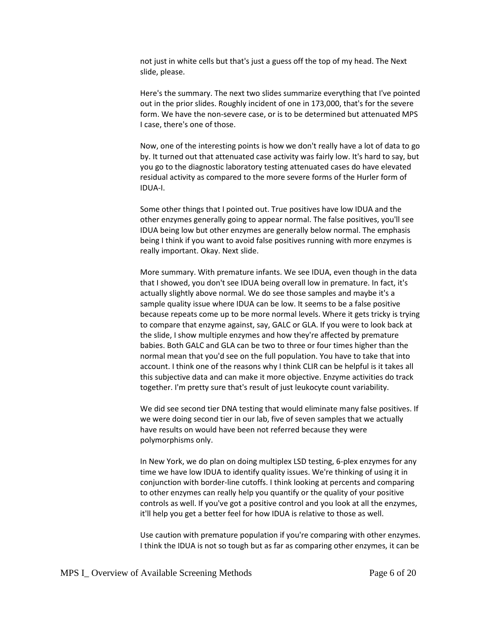not just in white cells but that's just a guess off the top of my head. The Next slide, please.

Here's the summary. The next two slides summarize everything that I've pointed out in the prior slides. Roughly incident of one in 173,000, that's for the severe form. We have the non-severe case, or is to be determined but attenuated MPS I case, there's one of those.

Now, one of the interesting points is how we don't really have a lot of data to go by. It turned out that attenuated case activity was fairly low. It's hard to say, but you go to the diagnostic laboratory testing attenuated cases do have elevated residual activity as compared to the more severe forms of the Hurler form of IDUA-I.

Some other things that I pointed out. True positives have low IDUA and the other enzymes generally going to appear normal. The false positives, you'll see IDUA being low but other enzymes are generally below normal. The emphasis being I think if you want to avoid false positives running with more enzymes is really important. Okay. Next slide.

More summary. With premature infants. We see IDUA, even though in the data that I showed, you don't see IDUA being overall low in premature. In fact, it's actually slightly above normal. We do see those samples and maybe it's a sample quality issue where IDUA can be low. It seems to be a false positive because repeats come up to be more normal levels. Where it gets tricky is trying to compare that enzyme against, say, GALC or GLA. If you were to look back at the slide, I show multiple enzymes and how they're affected by premature babies. Both GALC and GLA can be two to three or four times higher than the normal mean that you'd see on the full population. You have to take that into account. I think one of the reasons why I think CLIR can be helpful is it takes all this subjective data and can make it more objective. Enzyme activities do track together. I'm pretty sure that's result of just leukocyte count variability.

We did see second tier DNA testing that would eliminate many false positives. If we were doing second tier in our lab, five of seven samples that we actually have results on would have been not referred because they were polymorphisms only.

In New York, we do plan on doing multiplex LSD testing, 6-plex enzymes for any time we have low IDUA to identify quality issues. We're thinking of using it in conjunction with border-line cutoffs. I think looking at percents and comparing to other enzymes can really help you quantify or the quality of your positive controls as well. If you've got a positive control and you look at all the enzymes, it'll help you get a better feel for how IDUA is relative to those as well.

Use caution with premature population if you're comparing with other enzymes. I think the IDUA is not so tough but as far as comparing other enzymes, it can be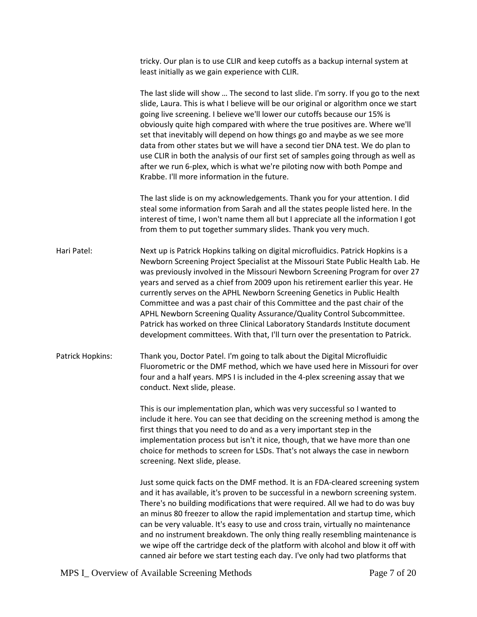tricky. Our plan is to use CLIR and keep cutoffs as a backup internal system at least initially as we gain experience with CLIR. The last slide will show … The second to last slide. I'm sorry. If you go to the next slide, Laura. This is what I believe will be our original or algorithm once we start going live screening. I believe we'll lower our cutoffs because our 15% is obviously quite high compared with where the true positives are. Where we'll set that inevitably will depend on how things go and maybe as we see more data from other states but we will have a second tier DNA test. We do plan to use CLIR in both the analysis of our first set of samples going through as well as after we run 6-plex, which is what we're piloting now with both Pompe and Krabbe. I'll more information in the future. The last slide is on my acknowledgements. Thank you for your attention. I did steal some information from Sarah and all the states people listed here. In the interest of time, I won't name them all but I appreciate all the information I got from them to put together summary slides. Thank you very much. Hari Patel: Next up is Patrick Hopkins talking on digital microfluidics. Patrick Hopkins is a Newborn Screening Project Specialist at the Missouri State Public Health Lab. He was previously involved in the Missouri Newborn Screening Program for over 27 years and served as a chief from 2009 upon his retirement earlier this year. He currently serves on the APHL Newborn Screening Genetics in Public Health Committee and was a past chair of this Committee and the past chair of the APHL Newborn Screening Quality Assurance/Quality Control Subcommittee. Patrick has worked on three Clinical Laboratory Standards Institute document development committees. With that, I'll turn over the presentation to Patrick. Patrick Hopkins: Thank you, Doctor Patel. I'm going to talk about the Digital Microfluidic Fluorometric or the DMF method, which we have used here in Missouri for over four and a half years. MPS I is included in the 4-plex screening assay that we conduct. Next slide, please. This is our implementation plan, which was very successful so I wanted to include it here. You can see that deciding on the screening method is among the first things that you need to do and as a very important step in the implementation process but isn't it nice, though, that we have more than one choice for methods to screen for LSDs. That's not always the case in newborn screening. Next slide, please. Just some quick facts on the DMF method. It is an FDA-cleared screening system and it has available, it's proven to be successful in a newborn screening system. There's no building modifications that were required. All we had to do was buy an minus 80 freezer to allow the rapid implementation and startup time, which can be very valuable. It's easy to use and cross train, virtually no maintenance and no instrument breakdown. The only thing really resembling maintenance is we wipe off the cartridge deck of the platform with alcohol and blow it off with

canned air before we start testing each day. I've only had two platforms that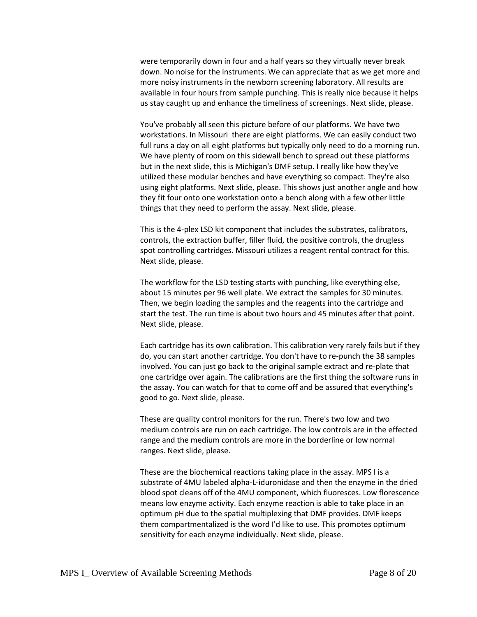were temporarily down in four and a half years so they virtually never break down. No noise for the instruments. We can appreciate that as we get more and more noisy instruments in the newborn screening laboratory. All results are available in four hours from sample punching. This is really nice because it helps us stay caught up and enhance the timeliness of screenings. Next slide, please.

You've probably all seen this picture before of our platforms. We have two workstations. In Missouri there are eight platforms. We can easily conduct two full runs a day on all eight platforms but typically only need to do a morning run. We have plenty of room on this sidewall bench to spread out these platforms but in the next slide, this is Michigan's DMF setup. I really like how they've utilized these modular benches and have everything so compact. They're also using eight platforms. Next slide, please. This shows just another angle and how they fit four onto one workstation onto a bench along with a few other little things that they need to perform the assay. Next slide, please.

This is the 4-plex LSD kit component that includes the substrates, calibrators, controls, the extraction buffer, filler fluid, the positive controls, the drugless spot controlling cartridges. Missouri utilizes a reagent rental contract for this. Next slide, please.

The workflow for the LSD testing starts with punching, like everything else, about 15 minutes per 96 well plate. We extract the samples for 30 minutes. Then, we begin loading the samples and the reagents into the cartridge and start the test. The run time is about two hours and 45 minutes after that point. Next slide, please.

Each cartridge has its own calibration. This calibration very rarely fails but if they do, you can start another cartridge. You don't have to re-punch the 38 samples involved. You can just go back to the original sample extract and re-plate that one cartridge over again. The calibrations are the first thing the software runs in the assay. You can watch for that to come off and be assured that everything's good to go. Next slide, please.

These are quality control monitors for the run. There's two low and two medium controls are run on each cartridge. The low controls are in the effected range and the medium controls are more in the borderline or low normal ranges. Next slide, please.

These are the biochemical reactions taking place in the assay. MPS I is a substrate of 4MU labeled alpha-L-iduronidase and then the enzyme in the dried blood spot cleans off of the 4MU component, which fluoresces. Low florescence means low enzyme activity. Each enzyme reaction is able to take place in an optimum pH due to the spatial multiplexing that DMF provides. DMF keeps them compartmentalized is the word I'd like to use. This promotes optimum sensitivity for each enzyme individually. Next slide, please.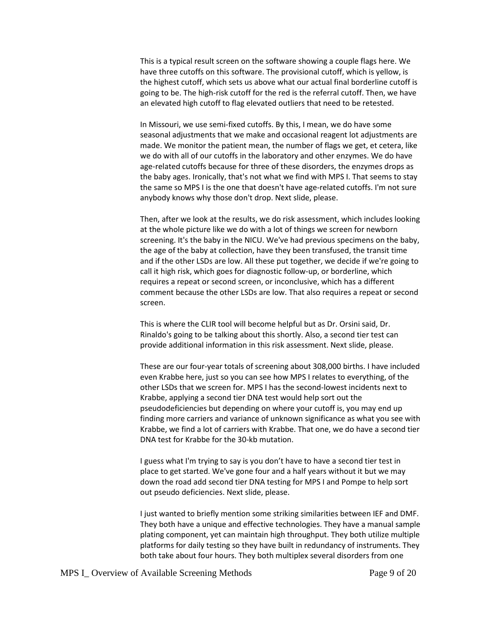This is a typical result screen on the software showing a couple flags here. We have three cutoffs on this software. The provisional cutoff, which is yellow, is the highest cutoff, which sets us above what our actual final borderline cutoff is going to be. The high-risk cutoff for the red is the referral cutoff. Then, we have an elevated high cutoff to flag elevated outliers that need to be retested.

In Missouri, we use semi-fixed cutoffs. By this, I mean, we do have some seasonal adjustments that we make and occasional reagent lot adjustments are made. We monitor the patient mean, the number of flags we get, et cetera, like we do with all of our cutoffs in the laboratory and other enzymes. We do have age-related cutoffs because for three of these disorders, the enzymes drops as the baby ages. Ironically, that's not what we find with MPS I. That seems to stay the same so MPS I is the one that doesn't have age-related cutoffs. I'm not sure anybody knows why those don't drop. Next slide, please.

Then, after we look at the results, we do risk assessment, which includes looking at the whole picture like we do with a lot of things we screen for newborn screening. It's the baby in the NICU. We've had previous specimens on the baby, the age of the baby at collection, have they been transfused, the transit time and if the other LSDs are low. All these put together, we decide if we're going to call it high risk, which goes for diagnostic follow-up, or borderline, which requires a repeat or second screen, or inconclusive, which has a different comment because the other LSDs are low. That also requires a repeat or second screen.

This is where the CLIR tool will become helpful but as Dr. Orsini said, Dr. Rinaldo's going to be talking about this shortly. Also, a second tier test can provide additional information in this risk assessment. Next slide, please.

These are our four-year totals of screening about 308,000 births. I have included even Krabbe here, just so you can see how MPS I relates to everything, of the other LSDs that we screen for. MPS I has the second-lowest incidents next to Krabbe, applying a second tier DNA test would help sort out the pseudodeficiencies but depending on where your cutoff is, you may end up finding more carriers and variance of unknown significance as what you see with Krabbe, we find a lot of carriers with Krabbe. That one, we do have a second tier DNA test for Krabbe for the 30-kb mutation.

I guess what I'm trying to say is you don't have to have a second tier test in place to get started. We've gone four and a half years without it but we may down the road add second tier DNA testing for MPS I and Pompe to help sort out pseudo deficiencies. Next slide, please.

I just wanted to briefly mention some striking similarities between IEF and DMF. They both have a unique and effective technologies. They have a manual sample plating component, yet can maintain high throughput. They both utilize multiple platforms for daily testing so they have built in redundancy of instruments. They both take about four hours. They both multiplex several disorders from one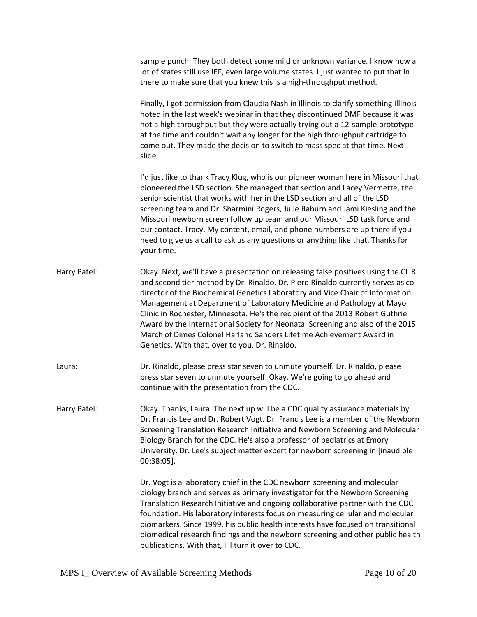|              | sample punch. They both detect some mild or unknown variance. I know how a<br>lot of states still use IEF, even large volume states. I just wanted to put that in<br>there to make sure that you knew this is a high-throughput method.                                                                                                                                                                                                                                                                                                                                                                                      |
|--------------|------------------------------------------------------------------------------------------------------------------------------------------------------------------------------------------------------------------------------------------------------------------------------------------------------------------------------------------------------------------------------------------------------------------------------------------------------------------------------------------------------------------------------------------------------------------------------------------------------------------------------|
|              | Finally, I got permission from Claudia Nash in Illinois to clarify something Illinois<br>noted in the last week's webinar in that they discontinued DMF because it was<br>not a high throughput but they were actually trying out a 12-sample prototype<br>at the time and couldn't wait any longer for the high throughput cartridge to<br>come out. They made the decision to switch to mass spec at that time. Next<br>slide.                                                                                                                                                                                             |
|              | I'd just like to thank Tracy Klug, who is our pioneer woman here in Missouri that<br>pioneered the LSD section. She managed that section and Lacey Vermette, the<br>senior scientist that works with her in the LSD section and all of the LSD<br>screening team and Dr. Sharmini Rogers, Julie Raburn and Jami Kiesling and the<br>Missouri newborn screen follow up team and our Missouri LSD task force and<br>our contact, Tracy. My content, email, and phone numbers are up there if you<br>need to give us a call to ask us any questions or anything like that. Thanks for<br>your time.                             |
| Harry Patel: | Okay. Next, we'll have a presentation on releasing false positives using the CLIR<br>and second tier method by Dr. Rinaldo. Dr. Piero Rinaldo currently serves as co-<br>director of the Biochemical Genetics Laboratory and Vice Chair of Information<br>Management at Department of Laboratory Medicine and Pathology at Mayo<br>Clinic in Rochester, Minnesota. He's the recipient of the 2013 Robert Guthrie<br>Award by the International Society for Neonatal Screening and also of the 2015<br>March of Dimes Colonel Harland Sanders Lifetime Achievement Award in<br>Genetics. With that, over to you, Dr. Rinaldo. |
| Laura:       | Dr. Rinaldo, please press star seven to unmute yourself. Dr. Rinaldo, please<br>press star seven to unmute yourself. Okay. We're going to go ahead and<br>continue with the presentation from the CDC.                                                                                                                                                                                                                                                                                                                                                                                                                       |
| Harry Patel: | Okay. Thanks, Laura. The next up will be a CDC quality assurance materials by<br>Dr. Francis Lee and Dr. Robert Vogt. Dr. Francis Lee is a member of the Newborn<br>Screening Translation Research Initiative and Newborn Screening and Molecular<br>Biology Branch for the CDC. He's also a professor of pediatrics at Emory<br>University. Dr. Lee's subject matter expert for newborn screening in [inaudible<br>$00:38:05$ ].                                                                                                                                                                                            |
|              | Dr. Vogt is a laboratory chief in the CDC newborn screening and molecular<br>biology branch and serves as primary investigator for the Newborn Screening<br>Translation Research Initiative and ongoing collaborative partner with the CDC<br>foundation. His laboratory interests focus on measuring cellular and molecular<br>biomarkers. Since 1999, his public health interests have focused on transitional<br>biomedical research findings and the newborn screening and other public health<br>publications. With that, I'll turn it over to CDC.                                                                     |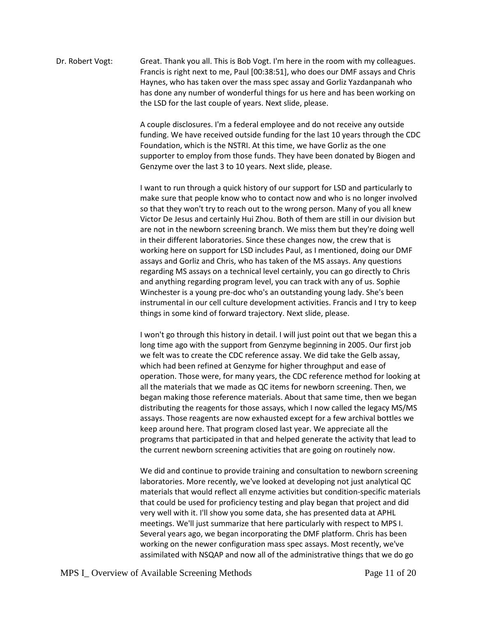Dr. Robert Vogt: Great. Thank you all. This is Bob Vogt. I'm here in the room with my colleagues. Francis is right next to me, Paul [00:38:51], who does our DMF assays and Chris Haynes, who has taken over the mass spec assay and Gorliz Yazdanpanah who has done any number of wonderful things for us here and has been working on the LSD for the last couple of years. Next slide, please.

> A couple disclosures. I'm a federal employee and do not receive any outside funding. We have received outside funding for the last 10 years through the CDC Foundation, which is the NSTRI. At this time, we have Gorliz as the one supporter to employ from those funds. They have been donated by Biogen and Genzyme over the last 3 to 10 years. Next slide, please.

I want to run through a quick history of our support for LSD and particularly to make sure that people know who to contact now and who is no longer involved so that they won't try to reach out to the wrong person. Many of you all knew Victor De Jesus and certainly Hui Zhou. Both of them are still in our division but are not in the newborn screening branch. We miss them but they're doing well in their different laboratories. Since these changes now, the crew that is working here on support for LSD includes Paul, as I mentioned, doing our DMF assays and Gorliz and Chris, who has taken of the MS assays. Any questions regarding MS assays on a technical level certainly, you can go directly to Chris and anything regarding program level, you can track with any of us. Sophie Winchester is a young pre-doc who's an outstanding young lady. She's been instrumental in our cell culture development activities. Francis and I try to keep things in some kind of forward trajectory. Next slide, please.

I won't go through this history in detail. I will just point out that we began this a long time ago with the support from Genzyme beginning in 2005. Our first job we felt was to create the CDC reference assay. We did take the Gelb assay, which had been refined at Genzyme for higher throughput and ease of operation. Those were, for many years, the CDC reference method for looking at all the materials that we made as QC items for newborn screening. Then, we began making those reference materials. About that same time, then we began distributing the reagents for those assays, which I now called the legacy MS/MS assays. Those reagents are now exhausted except for a few archival bottles we keep around here. That program closed last year. We appreciate all the programs that participated in that and helped generate the activity that lead to the current newborn screening activities that are going on routinely now.

We did and continue to provide training and consultation to newborn screening laboratories. More recently, we've looked at developing not just analytical QC materials that would reflect all enzyme activities but condition-specific materials that could be used for proficiency testing and play began that project and did very well with it. I'll show you some data, she has presented data at APHL meetings. We'll just summarize that here particularly with respect to MPS I. Several years ago, we began incorporating the DMF platform. Chris has been working on the newer configuration mass spec assays. Most recently, we've assimilated with NSQAP and now all of the administrative things that we do go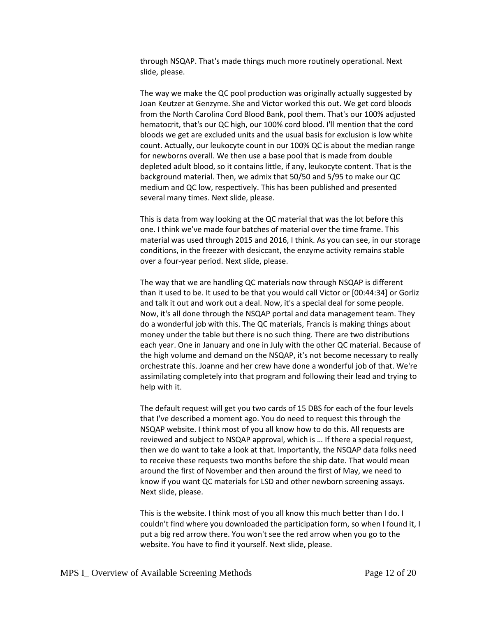through NSQAP. That's made things much more routinely operational. Next slide, please.

The way we make the QC pool production was originally actually suggested by Joan Keutzer at Genzyme. She and Victor worked this out. We get cord bloods from the North Carolina Cord Blood Bank, pool them. That's our 100% adjusted hematocrit, that's our QC high, our 100% cord blood. I'll mention that the cord bloods we get are excluded units and the usual basis for exclusion is low white count. Actually, our leukocyte count in our 100% QC is about the median range for newborns overall. We then use a base pool that is made from double depleted adult blood, so it contains little, if any, leukocyte content. That is the background material. Then, we admix that 50/50 and 5/95 to make our QC medium and QC low, respectively. This has been published and presented several many times. Next slide, please.

This is data from way looking at the QC material that was the lot before this one. I think we've made four batches of material over the time frame. This material was used through 2015 and 2016, I think. As you can see, in our storage conditions, in the freezer with desiccant, the enzyme activity remains stable over a four-year period. Next slide, please.

The way that we are handling QC materials now through NSQAP is different than it used to be. It used to be that you would call Victor or [00:44:34] or Gorliz and talk it out and work out a deal. Now, it's a special deal for some people. Now, it's all done through the NSQAP portal and data management team. They do a wonderful job with this. The QC materials, Francis is making things about money under the table but there is no such thing. There are two distributions each year. One in January and one in July with the other QC material. Because of the high volume and demand on the NSQAP, it's not become necessary to really orchestrate this. Joanne and her crew have done a wonderful job of that. We're assimilating completely into that program and following their lead and trying to help with it.

The default request will get you two cards of 15 DBS for each of the four levels that I've described a moment ago. You do need to request this through the NSQAP website. I think most of you all know how to do this. All requests are reviewed and subject to NSQAP approval, which is … If there a special request, then we do want to take a look at that. Importantly, the NSQAP data folks need to receive these requests two months before the ship date. That would mean around the first of November and then around the first of May, we need to know if you want QC materials for LSD and other newborn screening assays. Next slide, please.

This is the website. I think most of you all know this much better than I do. I couldn't find where you downloaded the participation form, so when I found it, I put a big red arrow there. You won't see the red arrow when you go to the website. You have to find it yourself. Next slide, please.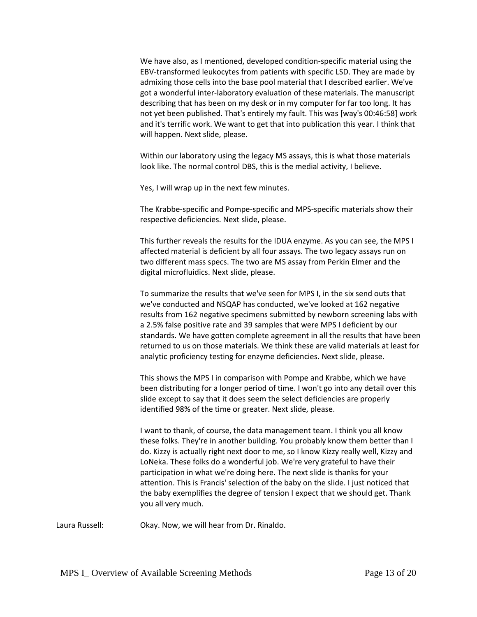We have also, as I mentioned, developed condition-specific material using the EBV-transformed leukocytes from patients with specific LSD. They are made by admixing those cells into the base pool material that I described earlier. We've got a wonderful inter-laboratory evaluation of these materials. The manuscript describing that has been on my desk or in my computer for far too long. It has not yet been published. That's entirely my fault. This was [way's 00:46:58] work and it's terrific work. We want to get that into publication this year. I think that will happen. Next slide, please.

Within our laboratory using the legacy MS assays, this is what those materials look like. The normal control DBS, this is the medial activity, I believe.

Yes, I will wrap up in the next few minutes.

The Krabbe-specific and Pompe-specific and MPS-specific materials show their respective deficiencies. Next slide, please.

This further reveals the results for the IDUA enzyme. As you can see, the MPS I affected material is deficient by all four assays. The two legacy assays run on two different mass specs. The two are MS assay from Perkin Elmer and the digital microfluidics. Next slide, please.

To summarize the results that we've seen for MPS I, in the six send outs that we've conducted and NSQAP has conducted, we've looked at 162 negative results from 162 negative specimens submitted by newborn screening labs with a 2.5% false positive rate and 39 samples that were MPS I deficient by our standards. We have gotten complete agreement in all the results that have been returned to us on those materials. We think these are valid materials at least for analytic proficiency testing for enzyme deficiencies. Next slide, please.

This shows the MPS I in comparison with Pompe and Krabbe, which we have been distributing for a longer period of time. I won't go into any detail over this slide except to say that it does seem the select deficiencies are properly identified 98% of the time or greater. Next slide, please.

I want to thank, of course, the data management team. I think you all know these folks. They're in another building. You probably know them better than I do. Kizzy is actually right next door to me, so I know Kizzy really well, Kizzy and LoNeka. These folks do a wonderful job. We're very grateful to have their participation in what we're doing here. The next slide is thanks for your attention. This is Francis' selection of the baby on the slide. I just noticed that the baby exemplifies the degree of tension I expect that we should get. Thank you all very much.

Laura Russell: Okay. Now, we will hear from Dr. Rinaldo.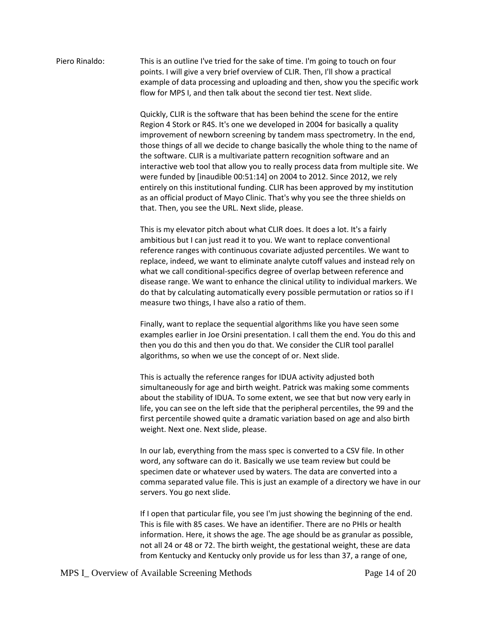## Piero Rinaldo: This is an outline I've tried for the sake of time. I'm going to touch on four points. I will give a very brief overview of CLIR. Then, I'll show a practical example of data processing and uploading and then, show you the specific work flow for MPS I, and then talk about the second tier test. Next slide.

Quickly, CLIR is the software that has been behind the scene for the entire Region 4 Stork or R4S. It's one we developed in 2004 for basically a quality improvement of newborn screening by tandem mass spectrometry. In the end, those things of all we decide to change basically the whole thing to the name of the software. CLIR is a multivariate pattern recognition software and an interactive web tool that allow you to really process data from multiple site. We were funded by [inaudible 00:51:14] on 2004 to 2012. Since 2012, we rely entirely on this institutional funding. CLIR has been approved by my institution as an official product of Mayo Clinic. That's why you see the three shields on that. Then, you see the URL. Next slide, please.

This is my elevator pitch about what CLIR does. It does a lot. It's a fairly ambitious but I can just read it to you. We want to replace conventional reference ranges with continuous covariate adjusted percentiles. We want to replace, indeed, we want to eliminate analyte cutoff values and instead rely on what we call conditional-specifics degree of overlap between reference and disease range. We want to enhance the clinical utility to individual markers. We do that by calculating automatically every possible permutation or ratios so if I measure two things, I have also a ratio of them.

Finally, want to replace the sequential algorithms like you have seen some examples earlier in Joe Orsini presentation. I call them the end. You do this and then you do this and then you do that. We consider the CLIR tool parallel algorithms, so when we use the concept of or. Next slide.

This is actually the reference ranges for IDUA activity adjusted both simultaneously for age and birth weight. Patrick was making some comments about the stability of IDUA. To some extent, we see that but now very early in life, you can see on the left side that the peripheral percentiles, the 99 and the first percentile showed quite a dramatic variation based on age and also birth weight. Next one. Next slide, please.

In our lab, everything from the mass spec is converted to a CSV file. In other word, any software can do it. Basically we use team review but could be specimen date or whatever used by waters. The data are converted into a comma separated value file. This is just an example of a directory we have in our servers. You go next slide.

If I open that particular file, you see I'm just showing the beginning of the end. This is file with 85 cases. We have an identifier. There are no PHIs or health information. Here, it shows the age. The age should be as granular as possible, not all 24 or 48 or 72. The birth weight, the gestational weight, these are data from Kentucky and Kentucky only provide us for less than 37, a range of one,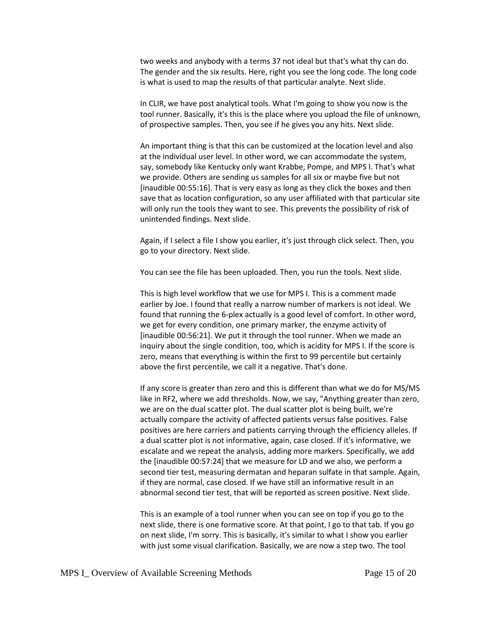two weeks and anybody with a terms 37 not ideal but that's what thy can do. The gender and the six results. Here, right you see the long code. The long code is what is used to map the results of that particular analyte. Next slide.

In CLIR, we have post analytical tools. What I'm going to show you now is the tool runner. Basically, it's this is the place where you upload the file of unknown, of prospective samples. Then, you see if he gives you any hits. Next slide.

An important thing is that this can be customized at the location level and also at the individual user level. In other word, we can accommodate the system, say, somebody like Kentucky only want Krabbe, Pompe, and MPS I. That's what we provide. Others are sending us samples for all six or maybe five but not [inaudible 00:55:16]. That is very easy as long as they click the boxes and then save that as location configuration, so any user affiliated with that particular site will only run the tools they want to see. This prevents the possibility of risk of unintended findings. Next slide.

Again, if I select a file I show you earlier, it's just through click select. Then, you go to your directory. Next slide.

You can see the file has been uploaded. Then, you run the tools. Next slide.

This is high level workflow that we use for MPS I. This is a comment made earlier by Joe. I found that really a narrow number of markers is not ideal. We found that running the 6-plex actually is a good level of comfort. In other word, we get for every condition, one primary marker, the enzyme activity of [inaudible 00:56:21]. We put it through the tool runner. When we made an inquiry about the single condition, too, which is acidity for MPS I. If the score is zero, means that everything is within the first to 99 percentile but certainly above the first percentile, we call it a negative. That's done.

If any score is greater than zero and this is different than what we do for MS/MS like in RF2, where we add thresholds. Now, we say, "Anything greater than zero, we are on the dual scatter plot. The dual scatter plot is being built, we're actually compare the activity of affected patients versus false positives. False positives are here carriers and patients carrying through the efficiency alleles. If a dual scatter plot is not informative, again, case closed. If it's informative, we escalate and we repeat the analysis, adding more markers. Specifically, we add the [inaudible 00:57:24] that we measure for LD and we also, we perform a second tier test, measuring dermatan and heparan sulfate in that sample. Again, if they are normal, case closed. If we have still an informative result in an abnormal second tier test, that will be reported as screen positive. Next slide.

This is an example of a tool runner when you can see on top if you go to the next slide, there is one formative score. At that point, I go to that tab. If you go on next slide, I'm sorry. This is basically, it's similar to what I show you earlier with just some visual clarification. Basically, we are now a step two. The tool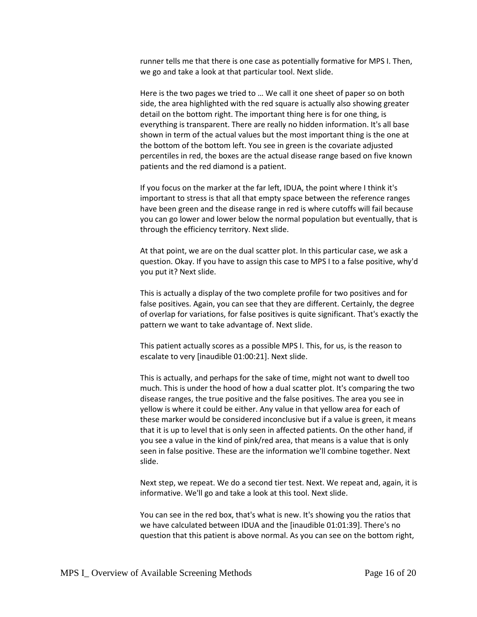runner tells me that there is one case as potentially formative for MPS I. Then, we go and take a look at that particular tool. Next slide.

Here is the two pages we tried to … We call it one sheet of paper so on both side, the area highlighted with the red square is actually also showing greater detail on the bottom right. The important thing here is for one thing, is everything is transparent. There are really no hidden information. It's all base shown in term of the actual values but the most important thing is the one at the bottom of the bottom left. You see in green is the covariate adjusted percentiles in red, the boxes are the actual disease range based on five known patients and the red diamond is a patient.

If you focus on the marker at the far left, IDUA, the point where I think it's important to stress is that all that empty space between the reference ranges have been green and the disease range in red is where cutoffs will fail because you can go lower and lower below the normal population but eventually, that is through the efficiency territory. Next slide.

At that point, we are on the dual scatter plot. In this particular case, we ask a question. Okay. If you have to assign this case to MPS I to a false positive, why'd you put it? Next slide.

This is actually a display of the two complete profile for two positives and for false positives. Again, you can see that they are different. Certainly, the degree of overlap for variations, for false positives is quite significant. That's exactly the pattern we want to take advantage of. Next slide.

This patient actually scores as a possible MPS I. This, for us, is the reason to escalate to very [inaudible 01:00:21]. Next slide.

This is actually, and perhaps for the sake of time, might not want to dwell too much. This is under the hood of how a dual scatter plot. It's comparing the two disease ranges, the true positive and the false positives. The area you see in yellow is where it could be either. Any value in that yellow area for each of these marker would be considered inconclusive but if a value is green, it means that it is up to level that is only seen in affected patients. On the other hand, if you see a value in the kind of pink/red area, that means is a value that is only seen in false positive. These are the information we'll combine together. Next slide.

Next step, we repeat. We do a second tier test. Next. We repeat and, again, it is informative. We'll go and take a look at this tool. Next slide.

You can see in the red box, that's what is new. It's showing you the ratios that we have calculated between IDUA and the [inaudible 01:01:39]. There's no question that this patient is above normal. As you can see on the bottom right,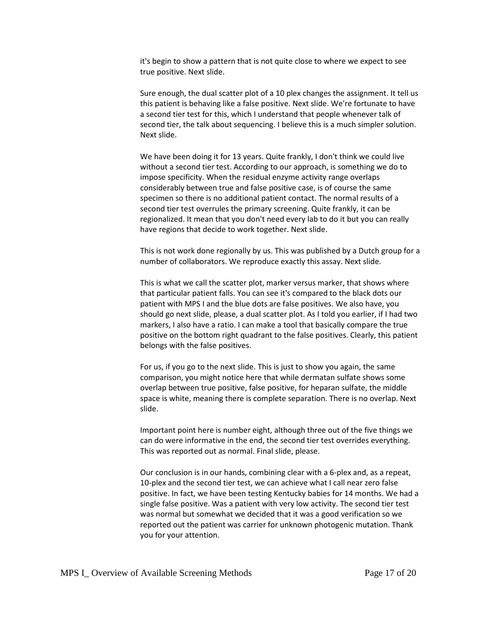it's begin to show a pattern that is not quite close to where we expect to see true positive. Next slide.

Sure enough, the dual scatter plot of a 10 plex changes the assignment. It tell us this patient is behaving like a false positive. Next slide. We're fortunate to have a second tier test for this, which I understand that people whenever talk of second tier, the talk about sequencing. I believe this is a much simpler solution. Next slide.

We have been doing it for 13 years. Quite frankly, I don't think we could live without a second tier test. According to our approach, is something we do to impose specificity. When the residual enzyme activity range overlaps considerably between true and false positive case, is of course the same specimen so there is no additional patient contact. The normal results of a second tier test overrules the primary screening. Quite frankly, it can be regionalized. It mean that you don't need every lab to do it but you can really have regions that decide to work together. Next slide.

This is not work done regionally by us. This was published by a Dutch group for a number of collaborators. We reproduce exactly this assay. Next slide.

This is what we call the scatter plot, marker versus marker, that shows where that particular patient falls. You can see it's compared to the black dots our patient with MPS I and the blue dots are false positives. We also have, you should go next slide, please, a dual scatter plot. As I told you earlier, if I had two markers, I also have a ratio. I can make a tool that basically compare the true positive on the bottom right quadrant to the false positives. Clearly, this patient belongs with the false positives.

For us, if you go to the next slide. This is just to show you again, the same comparison, you might notice here that while dermatan sulfate shows some overlap between true positive, false positive, for heparan sulfate, the middle space is white, meaning there is complete separation. There is no overlap. Next slide.

Important point here is number eight, although three out of the five things we can do were informative in the end, the second tier test overrides everything. This was reported out as normal. Final slide, please.

Our conclusion is in our hands, combining clear with a 6-plex and, as a repeat, 10-plex and the second tier test, we can achieve what I call near zero false positive. In fact, we have been testing Kentucky babies for 14 months. We had a single false positive. Was a patient with very low activity. The second tier test was normal but somewhat we decided that it was a good verification so we reported out the patient was carrier for unknown photogenic mutation. Thank you for your attention.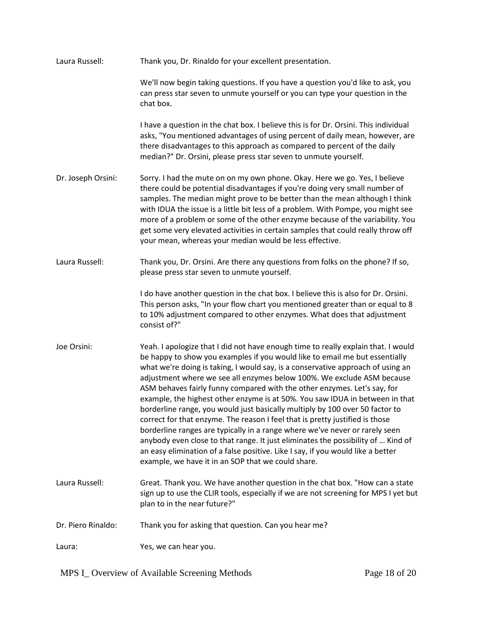| Laura Russell:     | Thank you, Dr. Rinaldo for your excellent presentation.                                                                                                                                                                                                                                                                                                                                                                                                                                                                                                                                                                                                                                                                                                                                                                                                                                                                                                               |
|--------------------|-----------------------------------------------------------------------------------------------------------------------------------------------------------------------------------------------------------------------------------------------------------------------------------------------------------------------------------------------------------------------------------------------------------------------------------------------------------------------------------------------------------------------------------------------------------------------------------------------------------------------------------------------------------------------------------------------------------------------------------------------------------------------------------------------------------------------------------------------------------------------------------------------------------------------------------------------------------------------|
|                    | We'll now begin taking questions. If you have a question you'd like to ask, you<br>can press star seven to unmute yourself or you can type your question in the<br>chat box.                                                                                                                                                                                                                                                                                                                                                                                                                                                                                                                                                                                                                                                                                                                                                                                          |
|                    | I have a question in the chat box. I believe this is for Dr. Orsini. This individual<br>asks, "You mentioned advantages of using percent of daily mean, however, are<br>there disadvantages to this approach as compared to percent of the daily<br>median?" Dr. Orsini, please press star seven to unmute yourself.                                                                                                                                                                                                                                                                                                                                                                                                                                                                                                                                                                                                                                                  |
| Dr. Joseph Orsini: | Sorry. I had the mute on on my own phone. Okay. Here we go. Yes, I believe<br>there could be potential disadvantages if you're doing very small number of<br>samples. The median might prove to be better than the mean although I think<br>with IDUA the issue is a little bit less of a problem. With Pompe, you might see<br>more of a problem or some of the other enzyme because of the variability. You<br>get some very elevated activities in certain samples that could really throw off<br>your mean, whereas your median would be less effective.                                                                                                                                                                                                                                                                                                                                                                                                          |
| Laura Russell:     | Thank you, Dr. Orsini. Are there any questions from folks on the phone? If so,<br>please press star seven to unmute yourself.                                                                                                                                                                                                                                                                                                                                                                                                                                                                                                                                                                                                                                                                                                                                                                                                                                         |
|                    | I do have another question in the chat box. I believe this is also for Dr. Orsini.<br>This person asks, "In your flow chart you mentioned greater than or equal to 8<br>to 10% adjustment compared to other enzymes. What does that adjustment<br>consist of?"                                                                                                                                                                                                                                                                                                                                                                                                                                                                                                                                                                                                                                                                                                        |
| Joe Orsini:        | Yeah. I apologize that I did not have enough time to really explain that. I would<br>be happy to show you examples if you would like to email me but essentially<br>what we're doing is taking, I would say, is a conservative approach of using an<br>adjustment where we see all enzymes below 100%. We exclude ASM because<br>ASM behaves fairly funny compared with the other enzymes. Let's say, for<br>example, the highest other enzyme is at 50%. You saw IDUA in between in that<br>borderline range, you would just basically multiply by 100 over 50 factor to<br>correct for that enzyme. The reason I feel that is pretty justified is those<br>borderline ranges are typically in a range where we've never or rarely seen<br>anybody even close to that range. It just eliminates the possibility of  Kind of<br>an easy elimination of a false positive. Like I say, if you would like a better<br>example, we have it in an SOP that we could share. |
| Laura Russell:     | Great. Thank you. We have another question in the chat box. "How can a state<br>sign up to use the CLIR tools, especially if we are not screening for MPS I yet but<br>plan to in the near future?"                                                                                                                                                                                                                                                                                                                                                                                                                                                                                                                                                                                                                                                                                                                                                                   |
| Dr. Piero Rinaldo: | Thank you for asking that question. Can you hear me?                                                                                                                                                                                                                                                                                                                                                                                                                                                                                                                                                                                                                                                                                                                                                                                                                                                                                                                  |
| Laura:             | Yes, we can hear you.                                                                                                                                                                                                                                                                                                                                                                                                                                                                                                                                                                                                                                                                                                                                                                                                                                                                                                                                                 |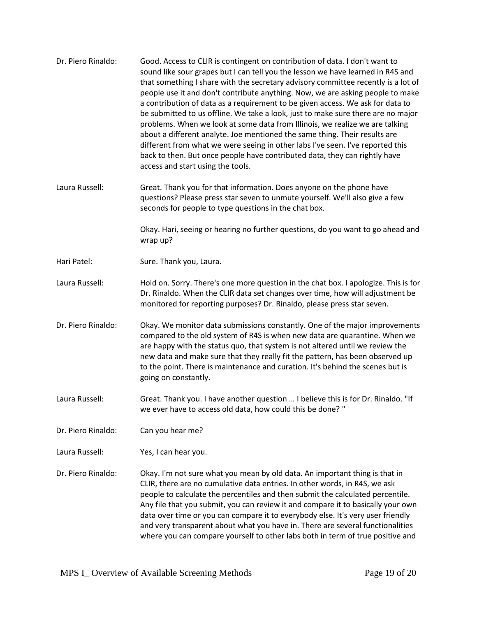| Dr. Piero Rinaldo: | Good. Access to CLIR is contingent on contribution of data. I don't want to<br>sound like sour grapes but I can tell you the lesson we have learned in R4S and<br>that something I share with the secretary advisory committee recently is a lot of<br>people use it and don't contribute anything. Now, we are asking people to make<br>a contribution of data as a requirement to be given access. We ask for data to<br>be submitted to us offline. We take a look, just to make sure there are no major<br>problems. When we look at some data from Illinois, we realize we are talking<br>about a different analyte. Joe mentioned the same thing. Their results are<br>different from what we were seeing in other labs I've seen. I've reported this<br>back to then. But once people have contributed data, they can rightly have<br>access and start using the tools. |
|--------------------|--------------------------------------------------------------------------------------------------------------------------------------------------------------------------------------------------------------------------------------------------------------------------------------------------------------------------------------------------------------------------------------------------------------------------------------------------------------------------------------------------------------------------------------------------------------------------------------------------------------------------------------------------------------------------------------------------------------------------------------------------------------------------------------------------------------------------------------------------------------------------------|
| Laura Russell:     | Great. Thank you for that information. Does anyone on the phone have<br>questions? Please press star seven to unmute yourself. We'll also give a few<br>seconds for people to type questions in the chat box.                                                                                                                                                                                                                                                                                                                                                                                                                                                                                                                                                                                                                                                                  |
|                    | Okay. Hari, seeing or hearing no further questions, do you want to go ahead and<br>wrap up?                                                                                                                                                                                                                                                                                                                                                                                                                                                                                                                                                                                                                                                                                                                                                                                    |
| Hari Patel:        | Sure. Thank you, Laura.                                                                                                                                                                                                                                                                                                                                                                                                                                                                                                                                                                                                                                                                                                                                                                                                                                                        |
| Laura Russell:     | Hold on. Sorry. There's one more question in the chat box. I apologize. This is for<br>Dr. Rinaldo. When the CLIR data set changes over time, how will adjustment be<br>monitored for reporting purposes? Dr. Rinaldo, please press star seven.                                                                                                                                                                                                                                                                                                                                                                                                                                                                                                                                                                                                                                |
| Dr. Piero Rinaldo: | Okay. We monitor data submissions constantly. One of the major improvements<br>compared to the old system of R4S is when new data are quarantine. When we<br>are happy with the status quo, that system is not altered until we review the<br>new data and make sure that they really fit the pattern, has been observed up<br>to the point. There is maintenance and curation. It's behind the scenes but is<br>going on constantly.                                                                                                                                                                                                                                                                                                                                                                                                                                          |
| Laura Russell:     | Great. Thank you. I have another question  I believe this is for Dr. Rinaldo. "If<br>we ever have to access old data, how could this be done? "                                                                                                                                                                                                                                                                                                                                                                                                                                                                                                                                                                                                                                                                                                                                |
| Dr. Piero Rinaldo: | Can you hear me?                                                                                                                                                                                                                                                                                                                                                                                                                                                                                                                                                                                                                                                                                                                                                                                                                                                               |
| Laura Russell:     | Yes, I can hear you.                                                                                                                                                                                                                                                                                                                                                                                                                                                                                                                                                                                                                                                                                                                                                                                                                                                           |
| Dr. Piero Rinaldo: | Okay. I'm not sure what you mean by old data. An important thing is that in<br>CLIR, there are no cumulative data entries. In other words, in R4S, we ask<br>people to calculate the percentiles and then submit the calculated percentile.<br>Any file that you submit, you can review it and compare it to basically your own<br>data over time or you can compare it to everybody else. It's very user friendly<br>and very transparent about what you have in. There are several functionalities<br>where you can compare yourself to other labs both in term of true positive and                                                                                                                                                                                                                                                                                         |